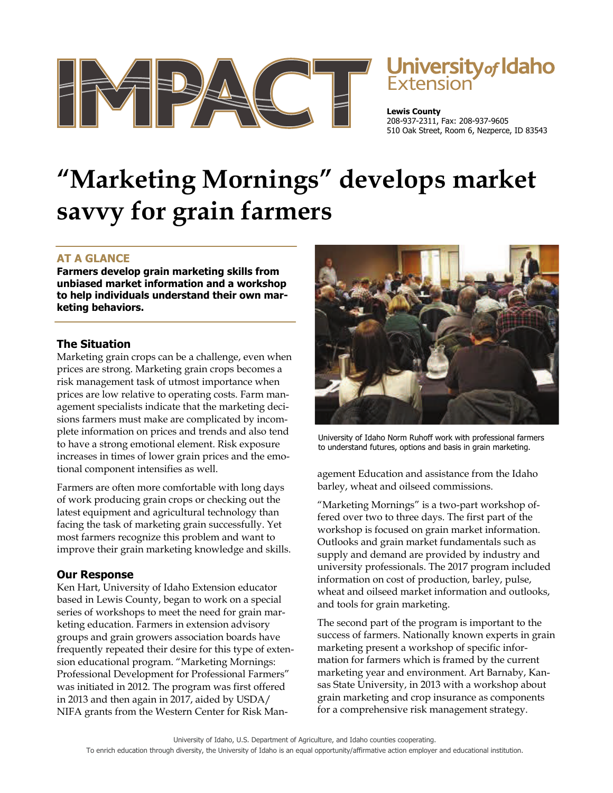

# **Jniversity** of Idaho

**Lewis County**  208-937-2311, Fax: 208-937-9605 510 Oak Street, Room 6, Nezperce, ID 83543

## **"Marketing Mornings" develops market savvy for grain farmers**

### **AT A GLANCE**

**Farmers develop grain marketing skills from unbiased market information and a workshop to help individuals understand their own marketing behaviors.** 

#### **The Situation**

Marketing grain crops can be a challenge, even when prices are strong. Marketing grain crops becomes a risk management task of utmost importance when prices are low relative to operating costs. Farm management specialists indicate that the marketing decisions farmers must make are complicated by incomplete information on prices and trends and also tend to have a strong emotional element. Risk exposure increases in times of lower grain prices and the emotional component intensifies as well.

Farmers are often more comfortable with long days of work producing grain crops or checking out the latest equipment and agricultural technology than facing the task of marketing grain successfully. Yet most farmers recognize this problem and want to improve their grain marketing knowledge and skills.

#### **Our Response**

Ken Hart, University of Idaho Extension educator based in Lewis County, began to work on a special series of workshops to meet the need for grain marketing education. Farmers in extension advisory groups and grain growers association boards have frequently repeated their desire for this type of extension educational program. "Marketing Mornings: Professional Development for Professional Farmers" was initiated in 2012. The program was first offered in 2013 and then again in 2017, aided by USDA/ NIFA grants from the Western Center for Risk Man-



University of Idaho Norm Ruhoff work with professional farmers to understand futures, options and basis in grain marketing.

agement Education and assistance from the Idaho barley, wheat and oilseed commissions.

"Marketing Mornings" is a two-part workshop offered over two to three days. The first part of the workshop is focused on grain market information. Outlooks and grain market fundamentals such as supply and demand are provided by industry and university professionals. The 2017 program included information on cost of production, barley, pulse, wheat and oilseed market information and outlooks, and tools for grain marketing.

The second part of the program is important to the success of farmers. Nationally known experts in grain marketing present a workshop of specific information for farmers which is framed by the current marketing year and environment. Art Barnaby, Kansas State University, in 2013 with a workshop about grain marketing and crop insurance as components for a comprehensive risk management strategy.